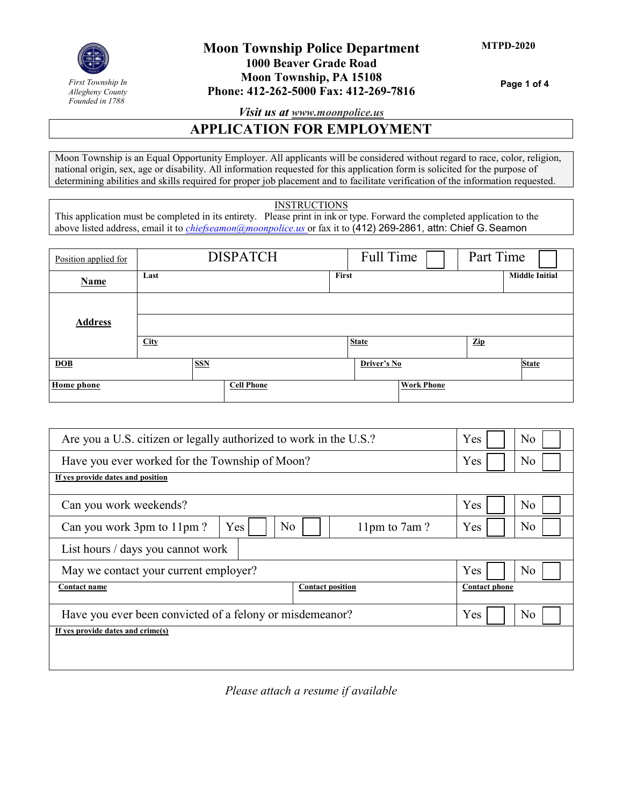

# **Moon Township Police Department 1000 Beaver Grade Road Moon Township, PA 15108 Phone: 412-262-5000 Fax: 412-269-7816**

**Page 1 of 4**

*Visit us at [www.moonpolice.us](http://www.moonpolice.us/)*

### **APPLICATION FOR EMPLOYMENT**

Moon Township is an Equal Opportunity Employer. All applicants will be considered without regard to race, color, religion, national origin, sex, age or disability. All information requested for this application form is solicited for the purpose of determining abilities and skills required for proper job placement and to facilitate verification of the information requested.

#### **INSTRUCTIONS**

This application must be completed in its entirety. Please print in ink or type. Forward the completed application to the above listed address, email it to *[chiefseamon@moonpolice.us](mailto:chiefseamon@moonpolice.us)* or fax it to (412) 269-2861, attn: Chief G.Seamon

| Position applied for |             | <b>DISPATCH</b>   |       | Full Time    |                   | Part Time      |                       |
|----------------------|-------------|-------------------|-------|--------------|-------------------|----------------|-----------------------|
| <b>Name</b>          | Last        |                   | First |              |                   |                | <b>Middle Initial</b> |
|                      |             |                   |       |              |                   |                |                       |
| <b>Address</b>       |             |                   |       |              |                   |                |                       |
|                      | <b>City</b> |                   |       | <b>State</b> |                   | $\mathbf{Zip}$ |                       |
| DOB                  |             | <b>SSN</b>        |       | Driver's No  |                   |                | <b>State</b>          |
| <b>Home</b> phone    |             | <b>Cell Phone</b> |       |              | <b>Work Phone</b> |                |                       |

| Are you a U.S. citizen or legally authorized to work in the U.S.?  | Yes<br>No             |
|--------------------------------------------------------------------|-----------------------|
| Have you ever worked for the Township of Moon?                     | Yes<br>No             |
| If yes provide dates and position                                  |                       |
| Can you work weekends?                                             | Yes<br>N <sub>o</sub> |
| N <sub>o</sub><br>Yes<br>Can you work 3pm to 11pm?<br>11pm to 7am? | No<br>Yes             |
| List hours / days you cannot work                                  |                       |
| May we contact your current employer?                              | Yes<br>No             |
| <b>Contact position</b><br><b>Contact name</b>                     | <b>Contact phone</b>  |
| Have you ever been convicted of a felony or misdemeanor?           | Yes<br>N <sub>o</sub> |
| If yes provide dates and crime(s)                                  |                       |
|                                                                    |                       |

*Please attach a resume if available*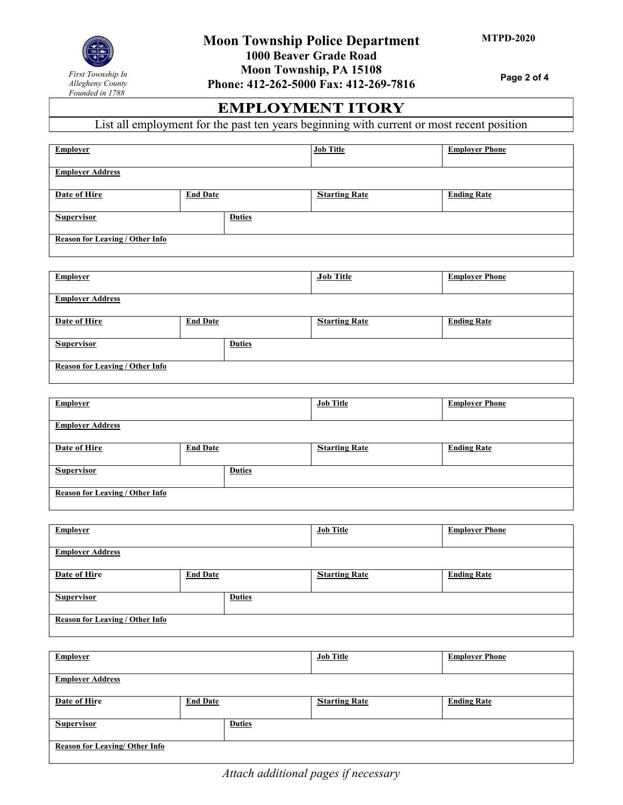

**Page 2 of 4**

# **EMPLOYMENT ITORY**

List all employment for the past ten years beginning with current or most recent position

| <b>Employer</b>                        |                 | <b>Job Title</b>     | <b>Employer Phone</b> |
|----------------------------------------|-----------------|----------------------|-----------------------|
| <b>Employer Address</b>                |                 |                      |                       |
| Date of Hire                           | <b>End Date</b> | <b>Starting Rate</b> | <b>Ending Rate</b>    |
| <b>Supervisor</b>                      | <b>Duties</b>   |                      |                       |
| <b>Reason for Leaving / Other Info</b> |                 |                      |                       |

| <b>Employer</b>                        |                 | <b>Job Title</b>     | <b>Employer Phone</b> |
|----------------------------------------|-----------------|----------------------|-----------------------|
| <b>Employer Address</b>                |                 |                      |                       |
| Date of Hire                           | <b>End Date</b> | <b>Starting Rate</b> | <b>Ending Rate</b>    |
| <b>Supervisor</b>                      | <b>Duties</b>   |                      |                       |
| <b>Reason for Leaving / Other Info</b> |                 |                      |                       |

| <b>Employer</b>                        |                 |               | <b>Job Title</b>     | <b>Employer Phone</b> |
|----------------------------------------|-----------------|---------------|----------------------|-----------------------|
| <b>Employer Address</b>                |                 |               |                      |                       |
| Date of Hire                           | <b>End Date</b> |               | <b>Starting Rate</b> | <b>Ending Rate</b>    |
| <b>Supervisor</b>                      |                 | <b>Duties</b> |                      |                       |
| <b>Reason for Leaving / Other Info</b> |                 |               |                      |                       |

| <b>Employer</b>                        |                 | <b>Job Title</b>     | <b>Employer Phone</b> |
|----------------------------------------|-----------------|----------------------|-----------------------|
| <b>Employer Address</b>                |                 |                      |                       |
| Date of Hire                           | <b>End Date</b> | <b>Starting Rate</b> | <b>Ending Rate</b>    |
| <b>Supervisor</b>                      | <b>Duties</b>   |                      |                       |
| <b>Reason for Leaving / Other Info</b> |                 |                      |                       |

| <b>Employer</b>                |                 | <b>Job Title</b>     | <b>Employer Phone</b> |
|--------------------------------|-----------------|----------------------|-----------------------|
| <b>Employer Address</b>        |                 |                      |                       |
| Date of Hire                   | <b>End Date</b> | <b>Starting Rate</b> | <b>Ending Rate</b>    |
| <b>Supervisor</b>              | <b>Duties</b>   |                      |                       |
| Reason for Leaving/ Other Info |                 |                      |                       |

*Attach additional pages if necessary*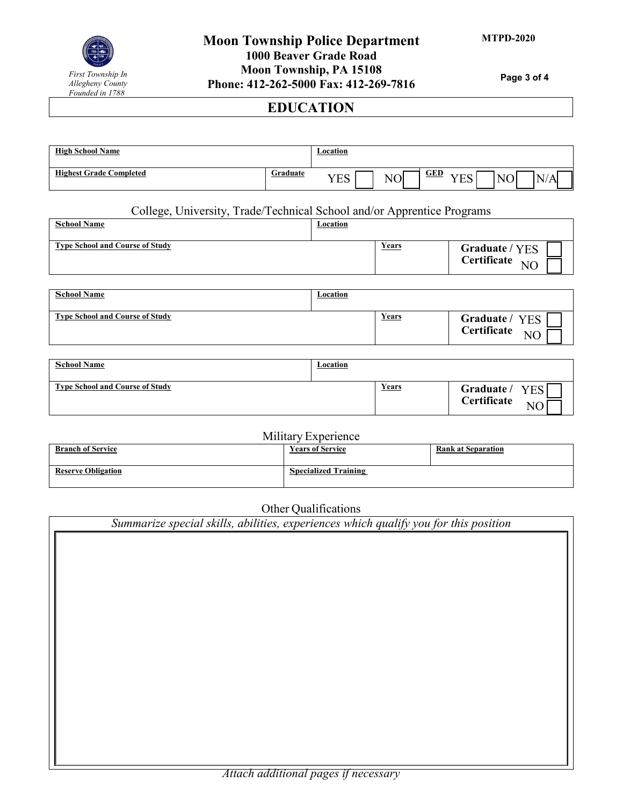

# **Moon Township Police Department 1000 Beaver Grade Road Moon Township, PA 15108 Phone: 412-262-5000 Fax: 412-269-7816**

**Page 3 of 4**

# **EDUCATION**

| <b>High School Name</b>        |          | Location                |                            |                           |        |                  |  |
|--------------------------------|----------|-------------------------|----------------------------|---------------------------|--------|------------------|--|
| <b>Highest Grade Completed</b> | Graduate | <b>TTO</b><br>`<br>טע ג | $T_{\odot}$<br>N<br>л<br>◡ | <b>GED</b><br>VES<br>טע ג | $\sim$ | N<br>$\Lambda$ . |  |

# College, University, Trade/Technical School and/or Apprentice Programs

| <b>School Name</b>                     | Location |       |                                               |
|----------------------------------------|----------|-------|-----------------------------------------------|
| <b>Type School and Course of Study</b> |          | Years | Graduate / YES<br>Certificate NO              |
|                                        |          |       |                                               |
| <b>School Name</b>                     | Location |       |                                               |
| <b>Type School and Course of Study</b> |          | Years | Graduate / YES<br>Certificate NO<br><b>NC</b> |

| <b>School Name</b>                     | <u>Location</u> |              |                                         |
|----------------------------------------|-----------------|--------------|-----------------------------------------|
| <b>Type School and Course of Study</b> |                 | <b>Years</b> | Graduate /<br><b>YES</b><br>Certificate |

|                           | Military Experience         |                           |
|---------------------------|-----------------------------|---------------------------|
| <b>Branch of Service</b>  | <b>Years of Service</b>     | <b>Rank at Separation</b> |
|                           |                             |                           |
| <b>Reserve Obligation</b> | <b>Specialized Training</b> |                           |
|                           |                             |                           |

Other Qualifications

| Summarize special skills, abilities, experiences which qualify you for this position |  |  |  |  |  |
|--------------------------------------------------------------------------------------|--|--|--|--|--|
|                                                                                      |  |  |  |  |  |
|                                                                                      |  |  |  |  |  |
|                                                                                      |  |  |  |  |  |
|                                                                                      |  |  |  |  |  |
|                                                                                      |  |  |  |  |  |
|                                                                                      |  |  |  |  |  |
|                                                                                      |  |  |  |  |  |
|                                                                                      |  |  |  |  |  |
|                                                                                      |  |  |  |  |  |
|                                                                                      |  |  |  |  |  |
|                                                                                      |  |  |  |  |  |
|                                                                                      |  |  |  |  |  |
|                                                                                      |  |  |  |  |  |
|                                                                                      |  |  |  |  |  |
|                                                                                      |  |  |  |  |  |
|                                                                                      |  |  |  |  |  |